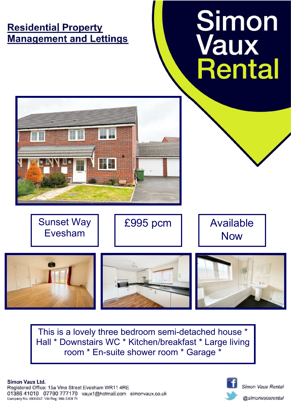# **Residential Property Management and Lettings**







This is a lovely three bedroom semi-detached house \* Hall \* Downstairs WC \* Kitchen/breakfast \* Large living room \* En-suite shower room \* Garage \*



Simon Vaux Rental

@simonvauxrental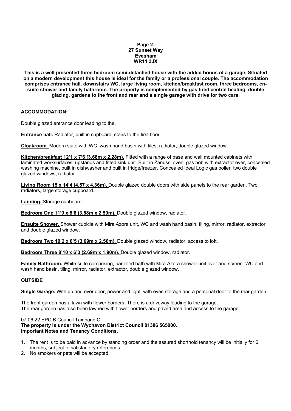#### **Page 2. 27 Sunset Way Evesham WR11 3JX**

**This is a well presented three bedroom semi-detached house with the added bonus of a garage. Situated on a modern development this house is ideal for the family or a professional couple. The accommodation comprises entrance hall, downstairs WC, large living room, kitchen/breakfast room, three bedrooms, ensuite shower and family bathroom. The property is complemented by gas fired central heating, double glazing, gardens to the front and rear and a single garage with drive for two cars.** 

## **ACCOMMODATION:**

Double glazed entrance door leading to the,

**Entrance hall.** Radiator, built in cupboard, stairs to the first floor.

**Cloakroom.** Modern suite with WC, wash hand basin with tiles, radiator, double glazed window.

**Kitchen/breakfast 12'1 x 7'6 (3.68m x 2.28m).** Fitted with a range of base and wall mounted cabinets with laminated worksurfaces, upstands and fitted sink unit. Built in Zanussi oven, gas hob with extractor over, concealed washing machine, built in dishwasher and built in fridge/freezer. Concealed Ideal Logic gas boiler, two double glazed windows, radiator.

**Living Room 15 x 14'4 (4.57 x 4.36m).** Double glazed double doors with side panels to the rear garden. Two radiators, large storage cupboard.

**Landing.** Storage cupboard.

**Bedroom One 11'9 x 8'6 (3.58m x 2.59m).** Double glazed window, radiator.

**Ensuite Shower.** Shower cubicle with Mira Azora unit, WC and wash hand basin, tiling, mirror. radiator, extractor and double glazed window.

**Bedroom Two 10'2 x 8'5 (3.09m x 2.56m).** Double glazed window, radiator, access to loft.

**Bedroom Three 8'10 x 6'3 (2.69m x 1.90m).** Double glazed window, radiator.

**Family Bathroom.** White suite comprising, panelled bath with Mira Azora shower unit over and screen. WC and wash hand basin, tiling, mirror, radiator, extractor, double glazed window.

## **OUTSIDE**

**Single Garage.** With up and over door, power and light, with eves storage and a personal door to the rear garden.

The front garden has a lawn with flower borders. There is a driveway leading to the garage. The rear garden has also been lawned with flower borders and paved area and access to the garage.

#### 07 06 22 EPC B Council Tax band C.

T**he property is under the Wychavon District Council 01386 565000. Important Notes and Tenancy Conditions.**

- 1. The rent is to be paid in advance by standing order and the assured shorthold tenancy will be initially for 6 months, subject to satisfactory references.
- 2. No smokers or pets will be accepted.